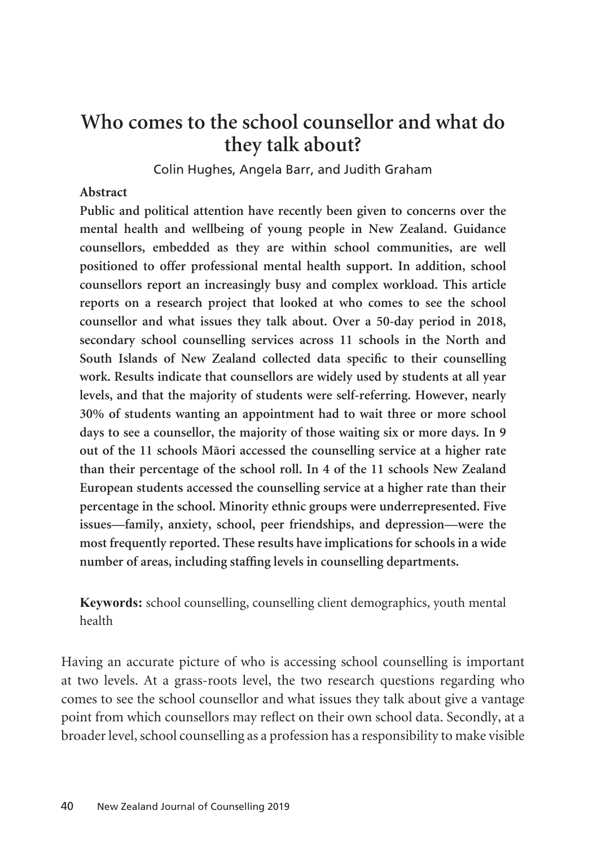# **Who comes to the school counsellor and what do they talk about?**

Colin Hughes, Angela Barr, and Judith Graham

#### **Abstract**

**Public and political attention have recently been given to concerns over the mental health and wellbeing of young people in New Zealand. Guidance counsellors, embedded as they are within school communities, are well positioned to offer professional mental health support. In addition, school counsellors report an increasingly busy and complex workload. This article reports on a research project that looked at who comes to see the school counsellor and what issues they talk about. Over a 50-day period in 2018, secondary school counselling services across 11 schools in the North and South Islands of New Zealand collected data specific to their counselling work. Results indicate that counsellors are widely used by students at all year levels, and that the majority of students were self-referring. However, nearly 30% of students wanting an appointment had to wait three or more school days to see a counsellor, the majority of those waiting six or more days. In 9 out of the 11 schools Mäori accessed the counselling service at a higher rate than their percentage of the school roll. In 4 of the 11 schools New Zealand European students accessed the counselling service at a higher rate than their percentage in the school. Minority ethnic groups were underrepresented. Five issues—family, anxiety, school, peer friendships, and depression—were the most frequently reported. These results have implications for schools in a wide number of areas, including staffing levels in counselling departments.**

**Keywords:** school counselling, counselling client demographics, youth mental health

Having an accurate picture of who is accessing school counselling is important at two levels. At a grass-roots level, the two research questions regarding who comes to see the school counsellor and what issues they talk about give a vantage point from which counsellors may reflect on their own school data. Secondly, at a broader level, school counselling as a profession has a responsibility to make visible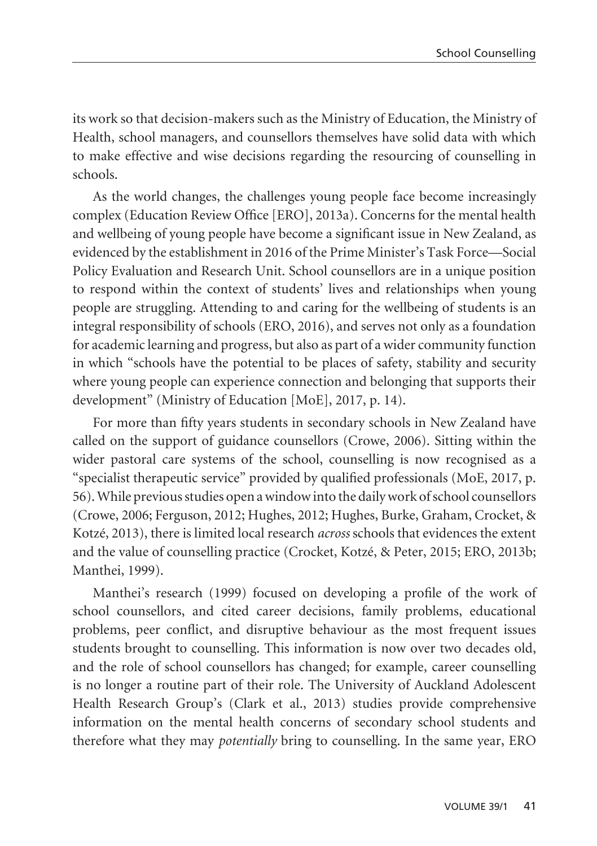its work so that decision-makers such as the Ministry of Education, the Ministry of Health, school managers, and counsellors themselves have solid data with which to make effective and wise decisions regarding the resourcing of counselling in schools.

As the world changes, the challenges young people face become increasingly complex (Education Review Office [ERO], 2013a). Concerns for the mental health and wellbeing of young people have become a significant issue in New Zealand, as evidenced by the establishment in 2016 of the Prime Minister's Task Force—Social Policy Evaluation and Research Unit. School counsellors are in a unique position to respond within the context of students' lives and relationships when young people are struggling. Attending to and caring for the wellbeing of students is an integral responsibility of schools (ERO, 2016), and serves not only as a foundation for academic learning and progress, but also as part of a wider community function in which "schools have the potential to be places of safety, stability and security where young people can experience connection and belonging that supports their development" (Ministry of Education [MoE], 2017, p. 14).

For more than fifty years students in secondary schools in New Zealand have called on the support of guidance counsellors (Crowe, 2006). Sitting within the wider pastoral care systems of the school, counselling is now recognised as a "specialist therapeutic service" provided by qualified professionals (MoE, 2017, p. 56). While previous studies open a window into the daily work of school counsellors (Crowe, 2006; Ferguson, 2012; Hughes, 2012; Hughes, Burke, Graham, Crocket, & Kotzé, 2013), there is limited local research *across* schools that evidences the extent and the value of counselling practice (Crocket, Kotzé, & Peter, 2015; ERO, 2013b; Manthei, 1999).

Manthei's research (1999) focused on developing a profile of the work of school counsellors, and cited career decisions, family problems, educational problems, peer conflict, and disruptive behaviour as the most frequent issues students brought to counselling. This information is now over two decades old, and the role of school counsellors has changed; for example, career counselling is no longer a routine part of their role. The University of Auckland Adolescent Health Research Group's (Clark et al., 2013) studies provide comprehensive information on the mental health concerns of secondary school students and therefore what they may *potentially* bring to counselling. In the same year, ERO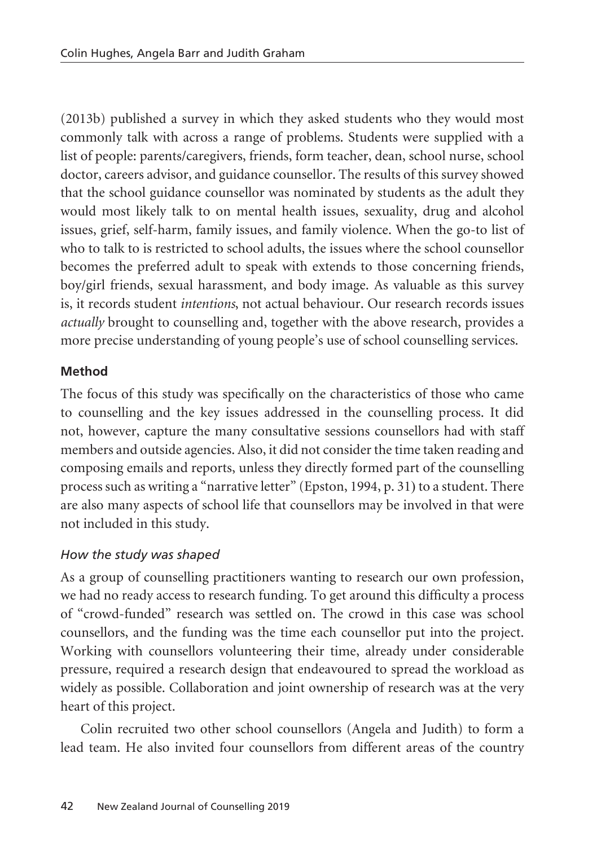(2013b) published a survey in which they asked students who they would most commonly talk with across a range of problems. Students were supplied with a list of people: parents/caregivers, friends, form teacher, dean, school nurse, school doctor, careers advisor, and guidance counsellor. The results of this survey showed that the school guidance counsellor was nominated by students as the adult they would most likely talk to on mental health issues, sexuality, drug and alcohol issues, grief, self-harm, family issues, and family violence. When the go-to list of who to talk to is restricted to school adults, the issues where the school counsellor becomes the preferred adult to speak with extends to those concerning friends, boy/girl friends, sexual harassment, and body image. As valuable as this survey is, it records student *intentions*, not actual behaviour. Our research records issues *actually* brought to counselling and, together with the above research, provides a more precise understanding of young people's use of school counselling services.

### **Method**

The focus of this study was specifically on the characteristics of those who came to counselling and the key issues addressed in the counselling process. It did not, however, capture the many consultative sessions counsellors had with staff members and outside agencies. Also, it did not consider the time taken reading and composing emails and reports, unless they directly formed part of the counselling process such as writing a "narrative letter" (Epston, 1994, p. 31) to a student. There are also many aspects of school life that counsellors may be involved in that were not included in this study.

### *How the study was shaped*

As a group of counselling practitioners wanting to research our own profession, we had no ready access to research funding. To get around this difficulty a process of "crowd-funded" research was settled on. The crowd in this case was school counsellors, and the funding was the time each counsellor put into the project. Working with counsellors volunteering their time, already under considerable pressure, required a research design that endeavoured to spread the workload as widely as possible. Collaboration and joint ownership of research was at the very heart of this project.

Colin recruited two other school counsellors (Angela and Judith) to form a lead team. He also invited four counsellors from different areas of the country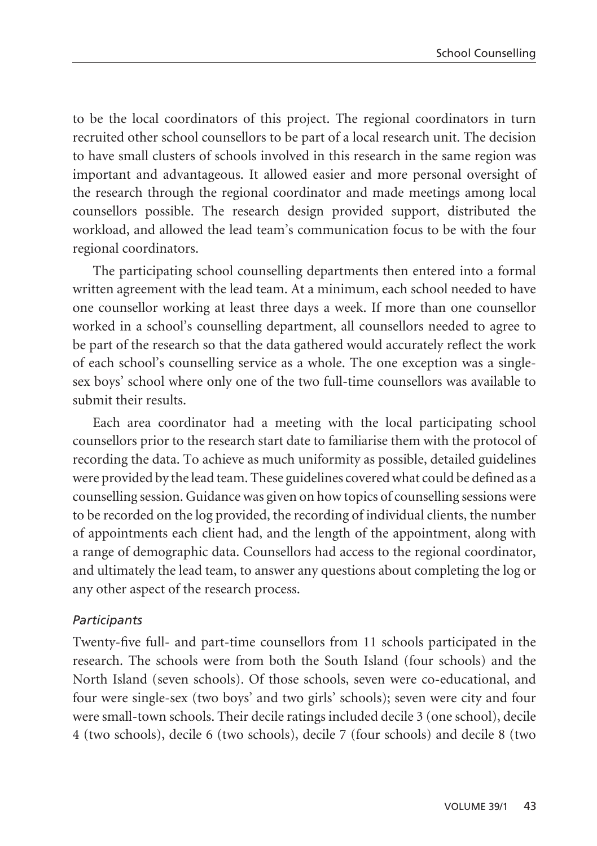to be the local coordinators of this project. The regional coordinators in turn recruited other school counsellors to be part of a local research unit. The decision to have small clusters of schools involved in this research in the same region was important and advantageous. It allowed easier and more personal oversight of the research through the regional coordinator and made meetings among local counsellors possible. The research design provided support, distributed the workload, and allowed the lead team's communication focus to be with the four regional coordinators.

The participating school counselling departments then entered into a formal written agreement with the lead team. At a minimum, each school needed to have one counsellor working at least three days a week. If more than one counsellor worked in a school's counselling department, all counsellors needed to agree to be part of the research so that the data gathered would accurately reflect the work of each school's counselling service as a whole. The one exception was a singlesex boys' school where only one of the two full-time counsellors was available to submit their results.

Each area coordinator had a meeting with the local participating school counsellors prior to the research start date to familiarise them with the protocol of recording the data. To achieve as much uniformity as possible, detailed guidelines were provided by the lead team. These guidelines covered what could be defined as a counselling session. Guidance was given on how topics of counselling sessions were to be recorded on the log provided, the recording of individual clients, the number of appointments each client had, and the length of the appointment, along with a range of demographic data. Counsellors had access to the regional coordinator, and ultimately the lead team, to answer any questions about completing the log or any other aspect of the research process.

### *Participants*

Twenty-five full- and part-time counsellors from 11 schools participated in the research. The schools were from both the South Island (four schools) and the North Island (seven schools). Of those schools, seven were co-educational, and four were single-sex (two boys' and two girls' schools); seven were city and four were small-town schools. Their decile ratings included decile 3 (one school), decile 4 (two schools), decile 6 (two schools), decile 7 (four schools) and decile 8 (two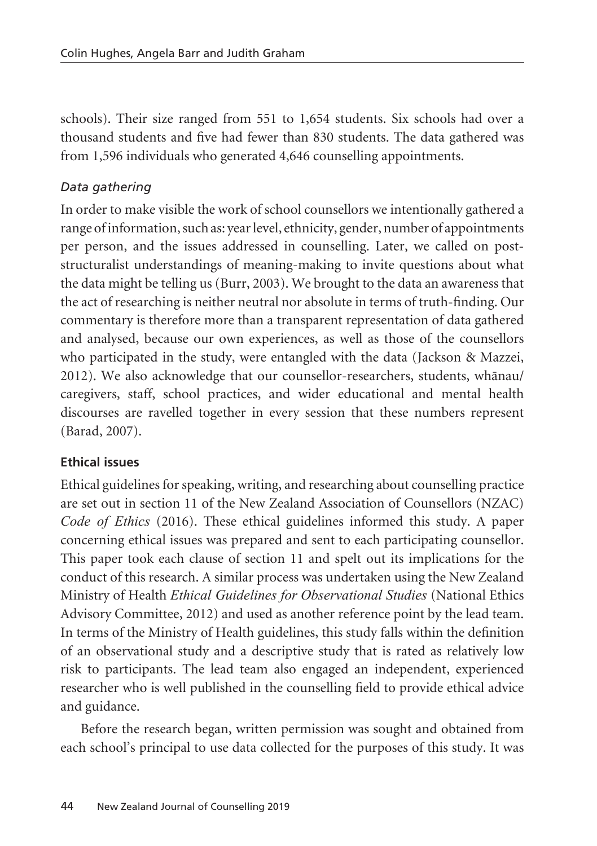schools). Their size ranged from 551 to 1,654 students. Six schools had over a thousand students and five had fewer than 830 students. The data gathered was from 1,596 individuals who generated 4,646 counselling appointments.

### *Data gathering*

In order to make visible the work of school counsellors we intentionally gathered a range of information, such as: year level, ethnicity, gender, number of appointments per person, and the issues addressed in counselling. Later, we called on poststructuralist understandings of meaning-making to invite questions about what the data might be telling us (Burr, 2003). We brought to the data an awareness that the act of researching is neither neutral nor absolute in terms of truth-finding. Our commentary is therefore more than a transparent representation of data gathered and analysed, because our own experiences, as well as those of the counsellors who participated in the study, were entangled with the data (Jackson & Mazzei, 2012). We also acknowledge that our counsellor-researchers, students, whänau/ caregivers, staff, school practices, and wider educational and mental health discourses are ravelled together in every session that these numbers represent (Barad, 2007).

### **Ethical issues**

Ethical guidelines for speaking, writing, and researching about counselling practice are set out in section 11 of the New Zealand Association of Counsellors (NZAC) *Code of Ethics* (2016). These ethical guidelines informed this study. A paper concerning ethical issues was prepared and sent to each participating counsellor. This paper took each clause of section 11 and spelt out its implications for the conduct of this research. A similar process was undertaken using the New Zealand Ministry of Health *Ethical Guidelines for Observational Studies* (National Ethics Advisory Committee, 2012) and used as another reference point by the lead team. In terms of the Ministry of Health guidelines, this study falls within the definition of an observational study and a descriptive study that is rated as relatively low risk to participants. The lead team also engaged an independent, experienced researcher who is well published in the counselling field to provide ethical advice and guidance.

Before the research began, written permission was sought and obtained from each school's principal to use data collected for the purposes of this study. It was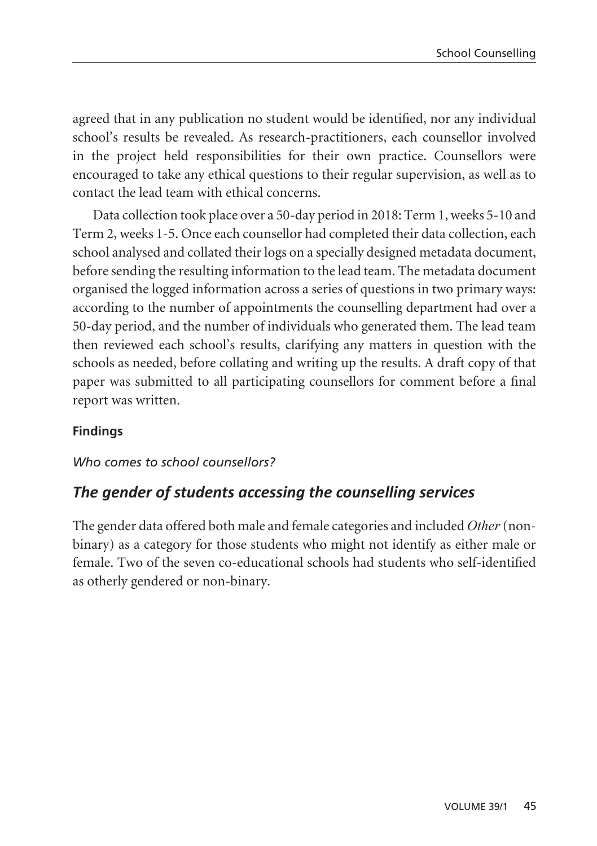agreed that in any publication no student would be identified, nor any individual school's results be revealed. As research-practitioners, each counsellor involved in the project held responsibilities for their own practice. Counsellors were encouraged to take any ethical questions to their regular supervision, as well as to contact the lead team with ethical concerns.

Data collection took place over a 50-day period in 2018: Term 1, weeks 5-10 and Term 2, weeks 1-5. Once each counsellor had completed their data collection, each school analysed and collated their logs on a specially designed metadata document, before sending the resulting information to the lead team. The metadata document organised the logged information across a series of questions in two primary ways: according to the number of appointments the counselling department had over a 50-day period, and the number of individuals who generated them. The lead team then reviewed each school's results, clarifying any matters in question with the schools as needed, before collating and writing up the results. A draft copy of that paper was submitted to all participating counsellors for comment before a final report was written.

### **Findings**

#### *Who comes to school counsellors?*

### *The gender of students accessing the counselling services*

The gender data offered both male and female categories and included *Other* (nonbinary) as a category for those students who might not identify as either male or female. Two of the seven co-educational schools had students who self-identified as otherly gendered or non-binary.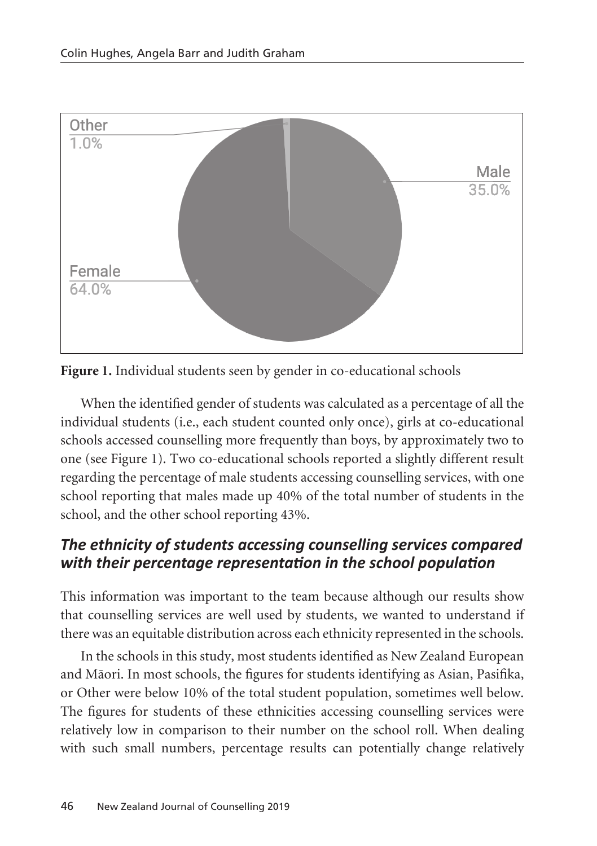

**Figure 1.** Individual students seen by gender in co-educational schools

When the identified gender of students was calculated as a percentage of all the individual students (i.e., each student counted only once), girls at co-educational schools accessed counselling more frequently than boys, by approximately two to one (see Figure 1). Two co-educational schools reported a slightly different result regarding the percentage of male students accessing counselling services, with one school reporting that males made up 40% of the total number of students in the school, and the other school reporting 43%.

## *The ethnicity of students accessing counselling services compared with their percentage representation in the school population*

This information was important to the team because although our results show that counselling services are well used by students, we wanted to understand if there was an equitable distribution across each ethnicity represented in the schools.

In the schools in this study, most students identified as New Zealand European and Mäori. In most schools, the figures for students identifying as Asian, Pasifika, or Other were below 10% of the total student population, sometimes well below. The figures for students of these ethnicities accessing counselling services were relatively low in comparison to their number on the school roll. When dealing with such small numbers, percentage results can potentially change relatively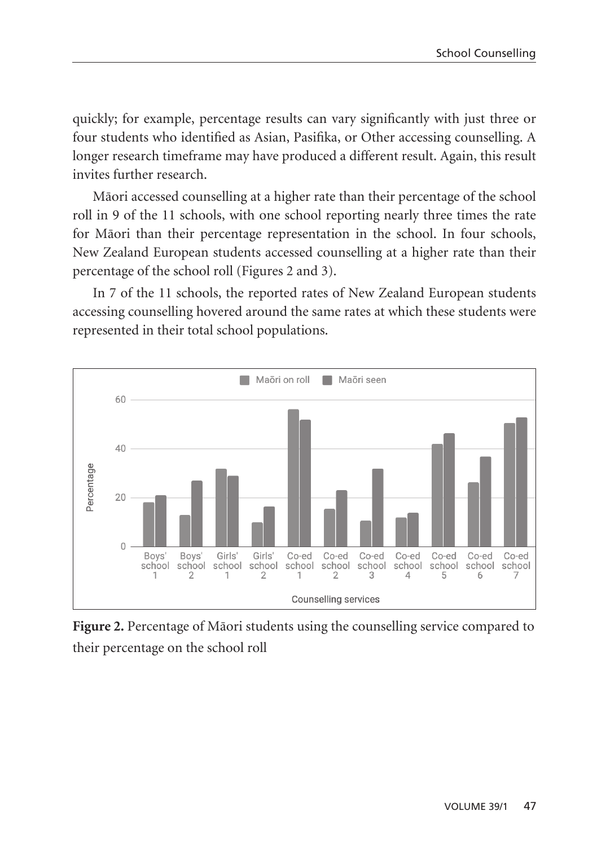quickly; for example, percentage results can vary significantly with just three or four students who identified as Asian, Pasifika, or Other accessing counselling. A longer research timeframe may have produced a different result. Again, this result invites further research.

Mäori accessed counselling at a higher rate than their percentage of the school roll in 9 of the 11 schools, with one school reporting nearly three times the rate for Mäori than their percentage representation in the school. In four schools, New Zealand European students accessed counselling at a higher rate than their percentage of the school roll (Figures 2 and 3).

In 7 of the 11 schools, the reported rates of New Zealand European students accessing counselling hovered around the same rates at which these students were represented in their total school populations.



**Figure 2.** Percentage of Mäori students using the counselling service compared to their percentage on the school roll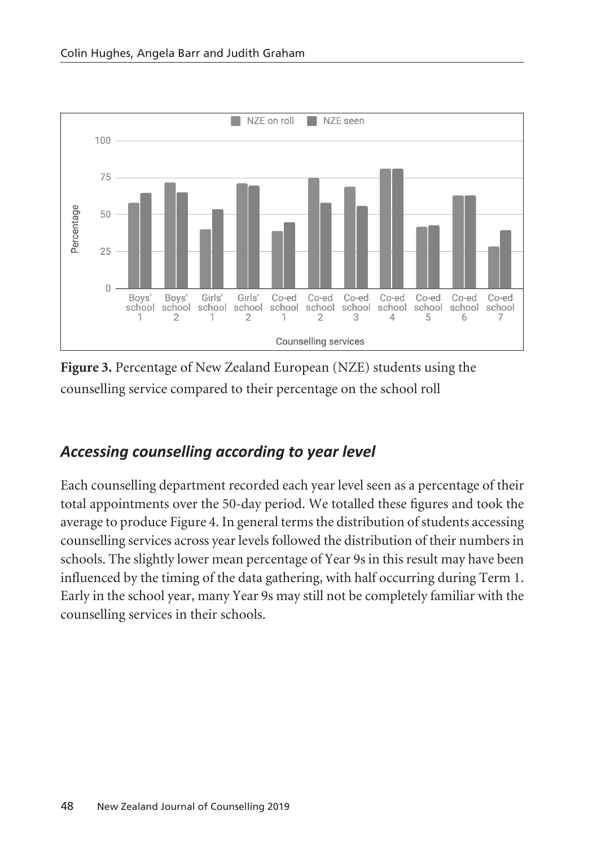

**Figure 3.** Percentage of New Zealand European (NZE) students using the counselling service compared to their percentage on the school roll

# *Accessing counselling according to year level*

Each counselling department recorded each year level seen as a percentage of their total appointments over the 50-day period. We totalled these figures and took the average to produce Figure 4. In general terms the distribution of students accessing counselling services across year levels followed the distribution of their numbers in schools. The slightly lower mean percentage of Year 9s in this result may have been influenced by the timing of the data gathering, with half occurring during Term 1. Early in the school year, many Year 9s may still not be completely familiar with the counselling services in their schools.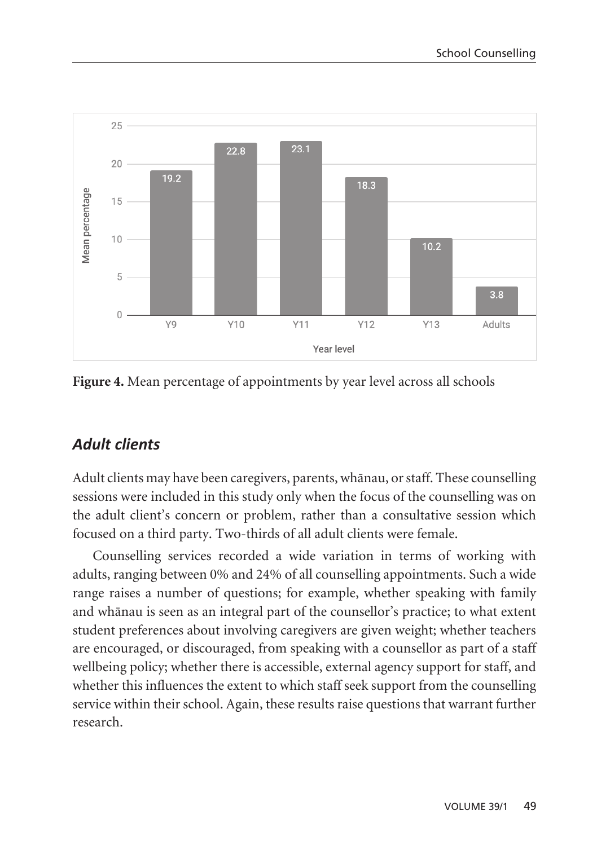

**Figure 4.** Mean percentage of appointments by year level across all schools

## *Adult clients*

Adult clients may have been caregivers, parents, whänau, or staff. These counselling sessions were included in this study only when the focus of the counselling was on the adult client's concern or problem, rather than a consultative session which focused on a third party. Two-thirds of all adult clients were female.

Counselling services recorded a wide variation in terms of working with adults, ranging between 0% and 24% of all counselling appointments. Such a wide range raises a number of questions; for example, whether speaking with family and whänau is seen as an integral part of the counsellor's practice; to what extent student preferences about involving caregivers are given weight; whether teachers are encouraged, or discouraged, from speaking with a counsellor as part of a staff wellbeing policy; whether there is accessible, external agency support for staff, and whether this influences the extent to which staff seek support from the counselling service within their school. Again, these results raise questions that warrant further research.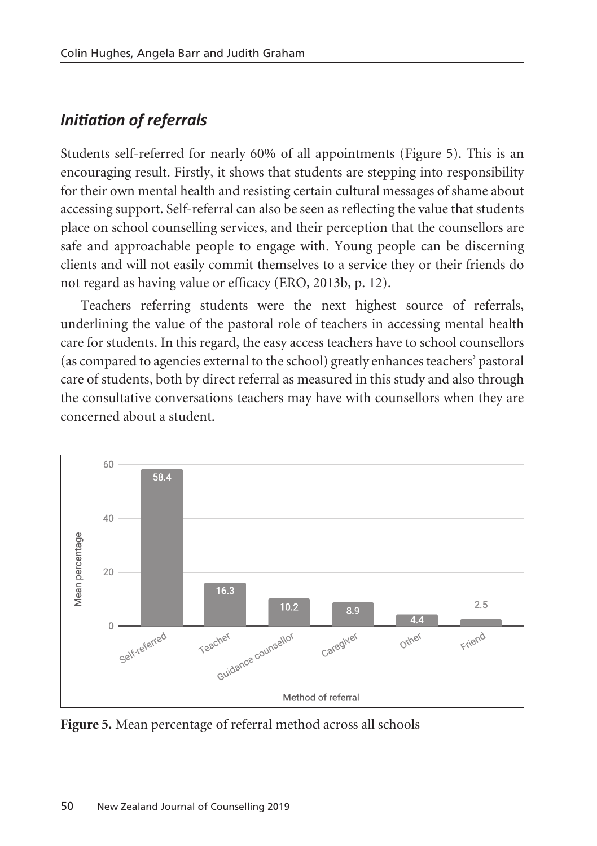## *Initiation of referrals*

Students self-referred for nearly 60% of all appointments (Figure 5). This is an encouraging result. Firstly, it shows that students are stepping into responsibility for their own mental health and resisting certain cultural messages of shame about accessing support. Self-referral can also be seen as reflecting the value that students place on school counselling services, and their perception that the counsellors are safe and approachable people to engage with. Young people can be discerning clients and will not easily commit themselves to a service they or their friends do not regard as having value or efficacy (ERO, 2013b, p. 12).

Teachers referring students were the next highest source of referrals, underlining the value of the pastoral role of teachers in accessing mental health care for students. In this regard, the easy access teachers have to school counsellors (as compared to agencies external to the school) greatly enhances teachers' pastoral care of students, both by direct referral as measured in this study and also through the consultative conversations teachers may have with counsellors when they are concerned about a student.



**Figure 5.** Mean percentage of referral method across all schools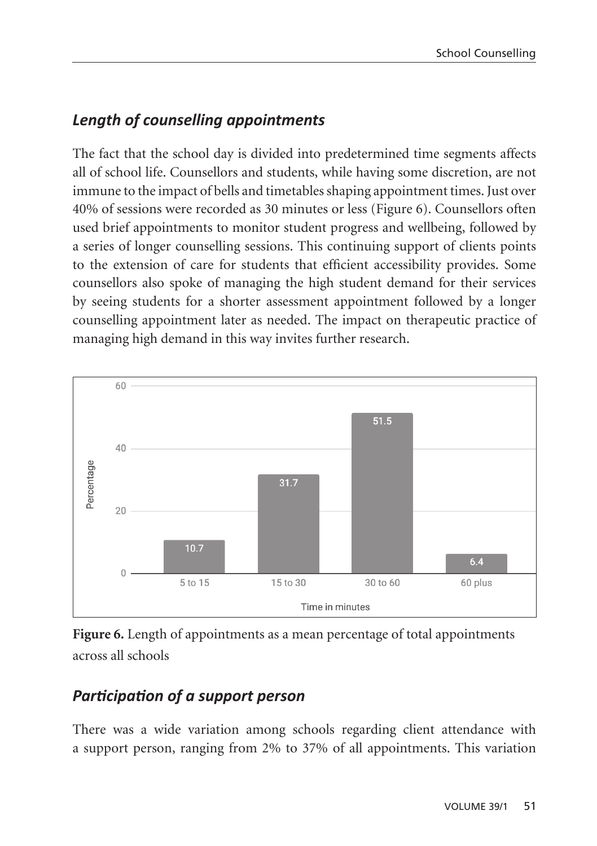## *Length of counselling appointments*

The fact that the school day is divided into predetermined time segments affects all of school life. Counsellors and students, while having some discretion, are not immune to the impact of bells and timetables shaping appointment times. Just over 40% of sessions were recorded as 30 minutes or less (Figure 6). Counsellors often used brief appointments to monitor student progress and wellbeing, followed by a series of longer counselling sessions. This continuing support of clients points to the extension of care for students that efficient accessibility provides. Some counsellors also spoke of managing the high student demand for their services by seeing students for a shorter assessment appointment followed by a longer counselling appointment later as needed. The impact on therapeutic practice of managing high demand in this way invites further research.





## *Participation of a support person*

There was a wide variation among schools regarding client attendance with a support person, ranging from 2% to 37% of all appointments. This variation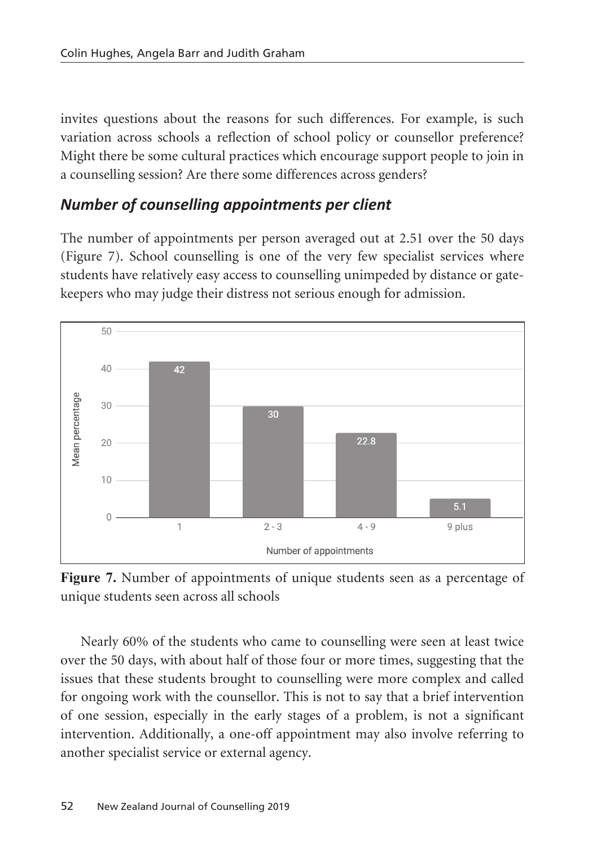invites questions about the reasons for such differences. For example, is such variation across schools a reflection of school policy or counsellor preference? Might there be some cultural practices which encourage support people to join in a counselling session? Are there some differences across genders?

## *Number of counselling appointments per client*

The number of appointments per person averaged out at 2.51 over the 50 days (Figure 7). School counselling is one of the very few specialist services where students have relatively easy access to counselling unimpeded by distance or gatekeepers who may judge their distress not serious enough for admission.



**Figure 7.** Number of appointments of unique students seen as a percentage of unique students seen across all schools

Nearly 60% of the students who came to counselling were seen at least twice over the 50 days, with about half of those four or more times, suggesting that the issues that these students brought to counselling were more complex and called for ongoing work with the counsellor. This is not to say that a brief intervention of one session, especially in the early stages of a problem, is not a significant intervention. Additionally, a one-off appointment may also involve referring to another specialist service or external agency.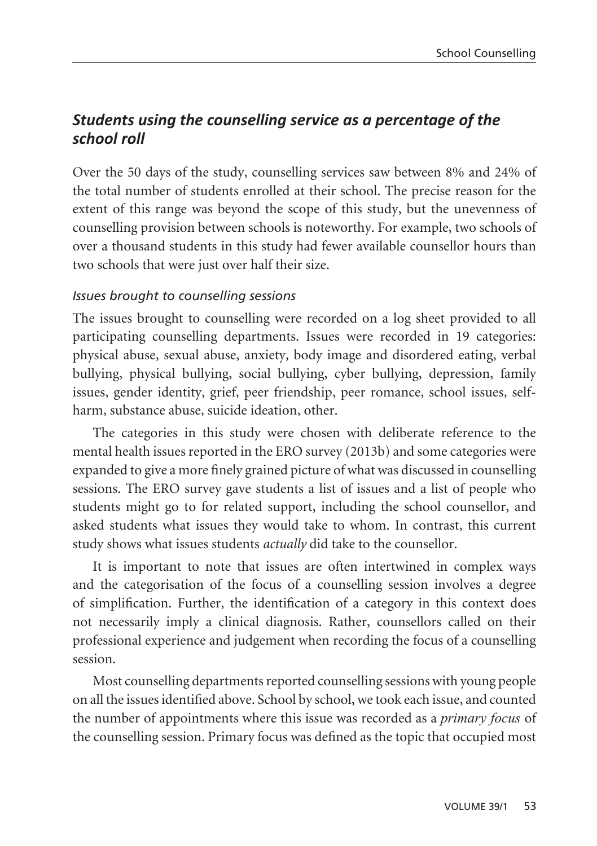## *Students using the counselling service as a percentage of the school roll*

Over the 50 days of the study, counselling services saw between 8% and 24% of the total number of students enrolled at their school. The precise reason for the extent of this range was beyond the scope of this study, but the unevenness of counselling provision between schools is noteworthy. For example, two schools of over a thousand students in this study had fewer available counsellor hours than two schools that were just over half their size.

#### *Issues brought to counselling sessions*

The issues brought to counselling were recorded on a log sheet provided to all participating counselling departments. Issues were recorded in 19 categories: physical abuse, sexual abuse, anxiety, body image and disordered eating, verbal bullying, physical bullying, social bullying, cyber bullying, depression, family issues, gender identity, grief, peer friendship, peer romance, school issues, selfharm, substance abuse, suicide ideation, other.

The categories in this study were chosen with deliberate reference to the mental health issues reported in the ERO survey (2013b) and some categories were expanded to give a more finely grained picture of what was discussed in counselling sessions. The ERO survey gave students a list of issues and a list of people who students might go to for related support, including the school counsellor, and asked students what issues they would take to whom. In contrast, this current study shows what issues students *actually* did take to the counsellor.

It is important to note that issues are often intertwined in complex ways and the categorisation of the focus of a counselling session involves a degree of simplification. Further, the identification of a category in this context does not necessarily imply a clinical diagnosis. Rather, counsellors called on their professional experience and judgement when recording the focus of a counselling session.

Most counselling departments reported counselling sessions with young people on all the issues identified above. School by school, we took each issue, and counted the number of appointments where this issue was recorded as a *primary focus* of the counselling session. Primary focus was defined as the topic that occupied most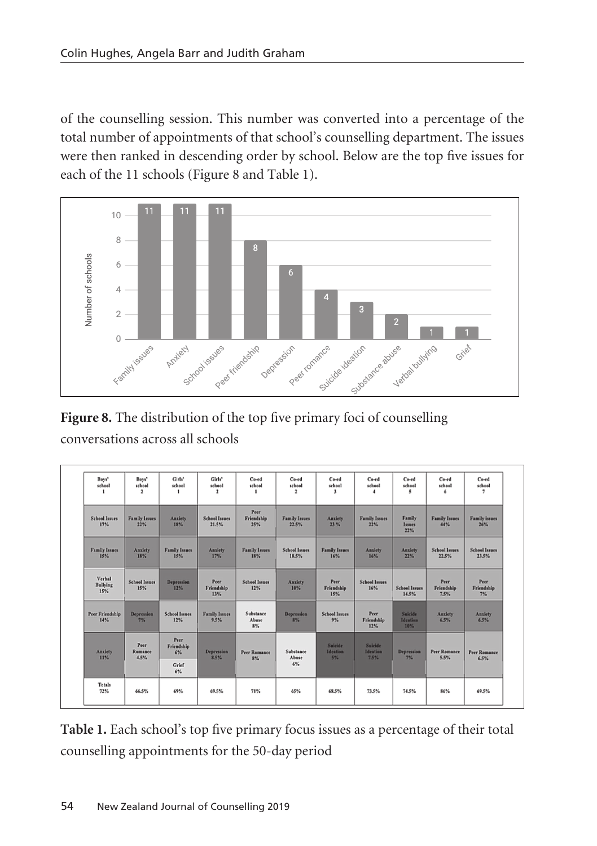of the counselling session. This number was converted into a percentage of the total number of appointments of that school's counselling department. The issues were then ranked in descending order by school. Below are the top five issues for each of the 11 schools (Figure 8 and Table 1).



**Figure 8.** The distribution of the top five primary foci of counselling conversations across all schools

| Boys'<br>school<br>-1            | Boys'<br>school<br>$\mathbf{2}$ | Girls'<br>school            | Girls'<br>school<br>$\mathbf{r}$ | Cord<br>school<br>٠                | Cord<br>school<br>$\mathbf{r}$ | $Co-ed$<br>school<br>$\mathbf{1}$ | $C$ a-ed<br>school<br>$\overline{4}$ | Co-ed<br>school<br>5          | Co-ed<br>school<br>6          | $C$ a-ed<br>school<br><sup>2</sup> |
|----------------------------------|---------------------------------|-----------------------------|----------------------------------|------------------------------------|--------------------------------|-----------------------------------|--------------------------------------|-------------------------------|-------------------------------|------------------------------------|
| <b>School Issues</b><br>17%      | <b>Family Issues</b><br>22%     | <b>Anxiety</b><br>18%       | <b>School Issues</b><br>21.5%    | Peer<br><b>Friendship</b><br>25%   | <b>Family Issues</b><br>22.5%  | <b>Anxiety</b><br>23%             | <b>Family Issues</b><br>$22\%$       | Family<br>Issues<br>22%       | <b>Family Issues</b><br>44%   | <b>Family issues</b><br>26%        |
| <b>Family Issues</b><br>15%      | Anxiety<br>18%                  | <b>Family Issues</b><br>15% | <b>Anxiety</b><br>17%            | <b>Family Issues</b><br>18%        | <b>School Issues</b><br>18.5%  | <b>Family Issues</b><br>16%       | <b>Anxiety</b><br>16%                | <b>Anxiety</b><br>22%         | <b>School Issues</b><br>22.5% | <b>School Issues</b><br>23.5%      |
| Verbal<br><b>Bullving</b><br>15% | <b>School Issues</b><br>15%     | <b>Depression</b><br>12%    | Peer<br>Friendship<br>13%        | <b>School Issues</b><br>12%        | <b>Anxiety</b><br>$10\%$       | Peer<br>Friendship<br>15%         | <b>School Issues</b><br>16%          | <b>School Issues</b><br>14.5% | Peer.<br>Friendship<br>7.5%   | Peer<br>Friendship<br>7%           |
| <b>Peer Friendship</b><br>14%    | <b>Depression</b><br>7%         | <b>School Issues</b><br>12% | <b>Family Issues</b><br>9.5%     | <b>Substance</b><br>Abuse<br>$$\%$ | <b>Depression</b><br>8%        | <b>School Issues</b><br>9%        | Peer.<br>Friendship<br>12%           | Suicide<br>Ideation<br>10%    | Anxiety<br>6.5%               | <b>Anxiety</b><br>6.5%             |
| Anziety<br>11%                   | Peer.<br>Romance<br>4.5%        | Peer<br>Friendship<br>6%    | <b>Depression</b><br>8.5%        | Peer Romance<br>8%                 | Substance<br>Abuse             | Suicide<br>Ideation<br>5%         | Suicide<br>Ideation<br>7.5%          | Depression<br>7%              | Peer Romance<br>5.5%          | Peer Romance<br>6.5%               |
|                                  |                                 | <b>Grief</b><br>$6\%$       |                                  |                                    | 6%                             |                                   |                                      |                               |                               |                                    |
| <b>Totals</b><br>72%             | 66.5%                           | 69%                         | 69.5%                            | 71%                                | 65%                            | 68.5%                             | 73.5%                                | 74.5%                         | 86%                           | 69.5%                              |

**Table 1.** Each school's top five primary focus issues as a percentage of their total counselling appointments for the 50-day period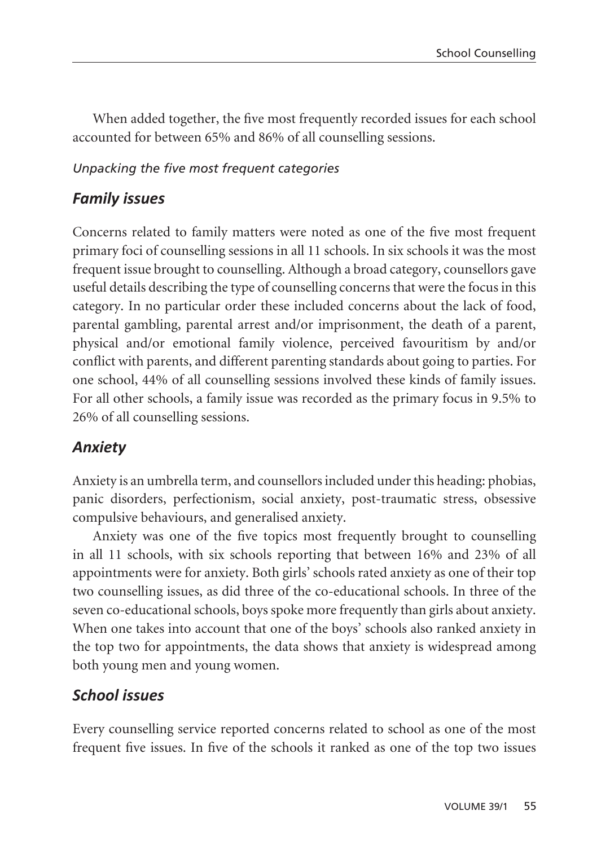When added together, the five most frequently recorded issues for each school accounted for between 65% and 86% of all counselling sessions.

#### *Unpacking the five most frequent categories*

## *Family issues*

Concerns related to family matters were noted as one of the five most frequent primary foci of counselling sessions in all 11 schools. In six schools it was the most frequent issue brought to counselling. Although a broad category, counsellors gave useful details describing the type of counselling concerns that were the focus in this category. In no particular order these included concerns about the lack of food, parental gambling, parental arrest and/or imprisonment, the death of a parent, physical and/or emotional family violence, perceived favouritism by and/or conflict with parents, and different parenting standards about going to parties. For one school, 44% of all counselling sessions involved these kinds of family issues. For all other schools, a family issue was recorded as the primary focus in 9.5% to 26% of all counselling sessions.

## *Anxiety*

Anxiety is an umbrella term, and counsellors included under this heading: phobias, panic disorders, perfectionism, social anxiety, post-traumatic stress, obsessive compulsive behaviours, and generalised anxiety.

Anxiety was one of the five topics most frequently brought to counselling in all 11 schools, with six schools reporting that between 16% and 23% of all appointments were for anxiety. Both girls' schools rated anxiety as one of their top two counselling issues, as did three of the co-educational schools. In three of the seven co-educational schools, boys spoke more frequently than girls about anxiety. When one takes into account that one of the boys' schools also ranked anxiety in the top two for appointments, the data shows that anxiety is widespread among both young men and young women.

## *School issues*

Every counselling service reported concerns related to school as one of the most frequent five issues. In five of the schools it ranked as one of the top two issues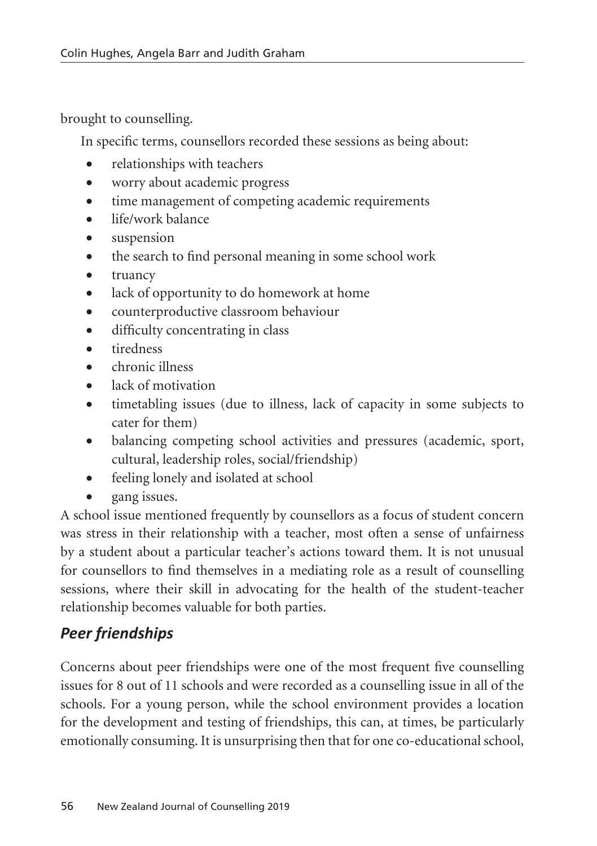brought to counselling.

In specific terms, counsellors recorded these sessions as being about:

- relationships with teachers
- worry about academic progress
- time management of competing academic requirements
- life/work balance
- • suspension
- the search to find personal meaning in some school work
- truancy
- lack of opportunity to do homework at home
- • counterproductive classroom behaviour
- difficulty concentrating in class
- • tiredness
- • chronic illness
- lack of motivation
- timetabling issues (due to illness, lack of capacity in some subjects to cater for them)
- balancing competing school activities and pressures (academic, sport, cultural, leadership roles, social/friendship)
- feeling lonely and isolated at school
- gang issues.

A school issue mentioned frequently by counsellors as a focus of student concern was stress in their relationship with a teacher, most often a sense of unfairness by a student about a particular teacher's actions toward them. It is not unusual for counsellors to find themselves in a mediating role as a result of counselling sessions, where their skill in advocating for the health of the student-teacher relationship becomes valuable for both parties.

# *Peer friendships*

Concerns about peer friendships were one of the most frequent five counselling issues for 8 out of 11 schools and were recorded as a counselling issue in all of the schools. For a young person, while the school environment provides a location for the development and testing of friendships, this can, at times, be particularly emotionally consuming. It is unsurprising then that for one co-educational school,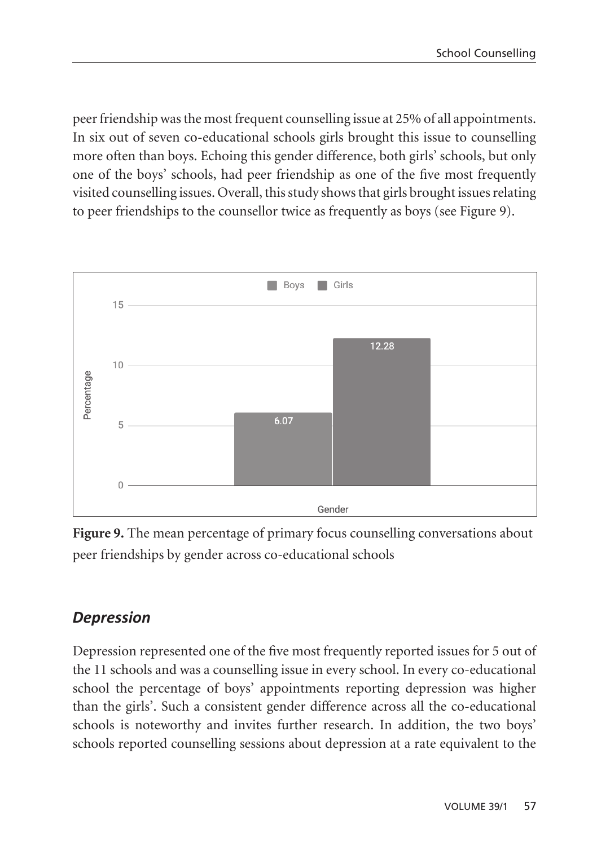peer friendship was the most frequent counselling issue at 25% of all appointments. In six out of seven co-educational schools girls brought this issue to counselling more often than boys. Echoing this gender difference, both girls' schools, but only one of the boys' schools, had peer friendship as one of the five most frequently visited counselling issues. Overall, this study shows that girls brought issues relating to peer friendships to the counsellor twice as frequently as boys (see Figure 9).



**Figure 9.** The mean percentage of primary focus counselling conversations about peer friendships by gender across co-educational schools

## *Depression*

Depression represented one of the five most frequently reported issues for 5 out of the 11 schools and was a counselling issue in every school. In every co-educational school the percentage of boys' appointments reporting depression was higher than the girls'. Such a consistent gender difference across all the co-educational schools is noteworthy and invites further research. In addition, the two boys' schools reported counselling sessions about depression at a rate equivalent to the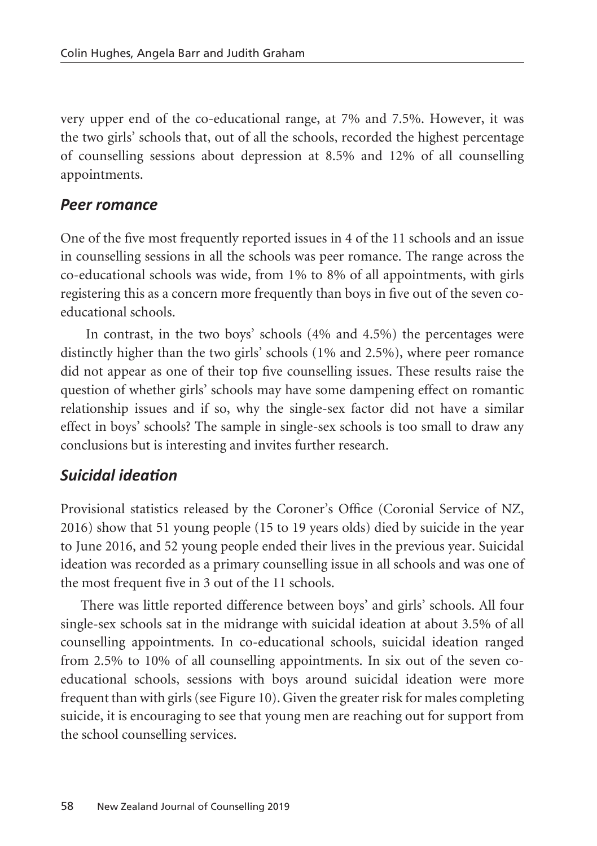very upper end of the co-educational range, at 7% and 7.5%. However, it was the two girls' schools that, out of all the schools, recorded the highest percentage of counselling sessions about depression at 8.5% and 12% of all counselling appointments.

#### *Peer romance*

One of the five most frequently reported issues in 4 of the 11 schools and an issue in counselling sessions in all the schools was peer romance. The range across the co-educational schools was wide, from 1% to 8% of all appointments, with girls registering this as a concern more frequently than boys in five out of the seven coeducational schools.

 In contrast, in the two boys' schools (4% and 4.5%) the percentages were distinctly higher than the two girls' schools (1% and 2.5%), where peer romance did not appear as one of their top five counselling issues. These results raise the question of whether girls' schools may have some dampening effect on romantic relationship issues and if so, why the single-sex factor did not have a similar effect in boys' schools? The sample in single-sex schools is too small to draw any conclusions but is interesting and invites further research.

### *Suicidal ideation*

Provisional statistics released by the Coroner's Office (Coronial Service of NZ, 2016) show that 51 young people (15 to 19 years olds) died by suicide in the year to June 2016, and 52 young people ended their lives in the previous year. Suicidal ideation was recorded as a primary counselling issue in all schools and was one of the most frequent five in 3 out of the 11 schools.

There was little reported difference between boys' and girls' schools. All four single-sex schools sat in the midrange with suicidal ideation at about 3.5% of all counselling appointments. In co-educational schools, suicidal ideation ranged from 2.5% to 10% of all counselling appointments. In six out of the seven coeducational schools, sessions with boys around suicidal ideation were more frequent than with girls (see Figure 10). Given the greater risk for males completing suicide, it is encouraging to see that young men are reaching out for support from the school counselling services.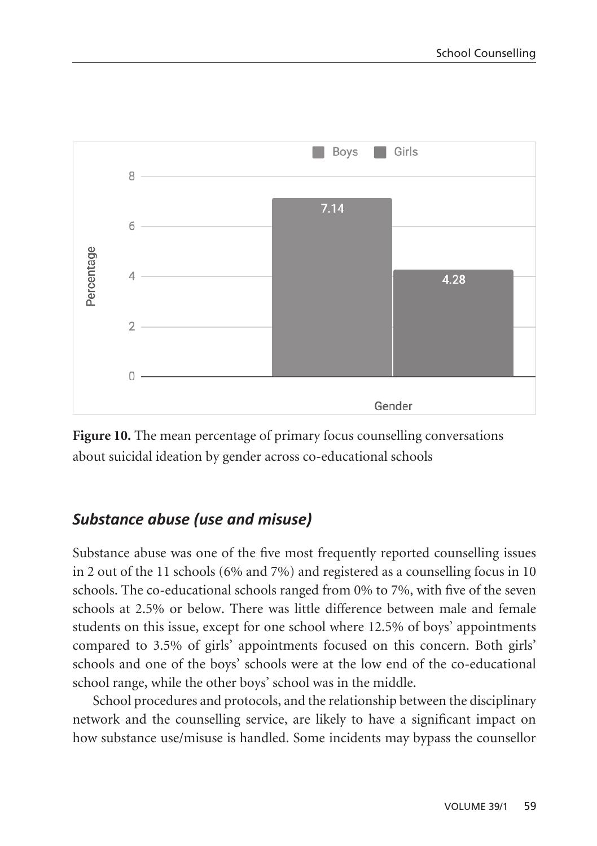

**Figure 10.** The mean percentage of primary focus counselling conversations about suicidal ideation by gender across co-educational schools

## *Substance abuse (use and misuse)*

Substance abuse was one of the five most frequently reported counselling issues in 2 out of the 11 schools (6% and 7%) and registered as a counselling focus in 10 schools. The co-educational schools ranged from 0% to 7%, with five of the seven schools at 2.5% or below. There was little difference between male and female students on this issue, except for one school where 12.5% of boys' appointments compared to 3.5% of girls' appointments focused on this concern. Both girls' schools and one of the boys' schools were at the low end of the co-educational school range, while the other boys' school was in the middle.

School procedures and protocols, and the relationship between the disciplinary network and the counselling service, are likely to have a significant impact on how substance use/misuse is handled. Some incidents may bypass the counsellor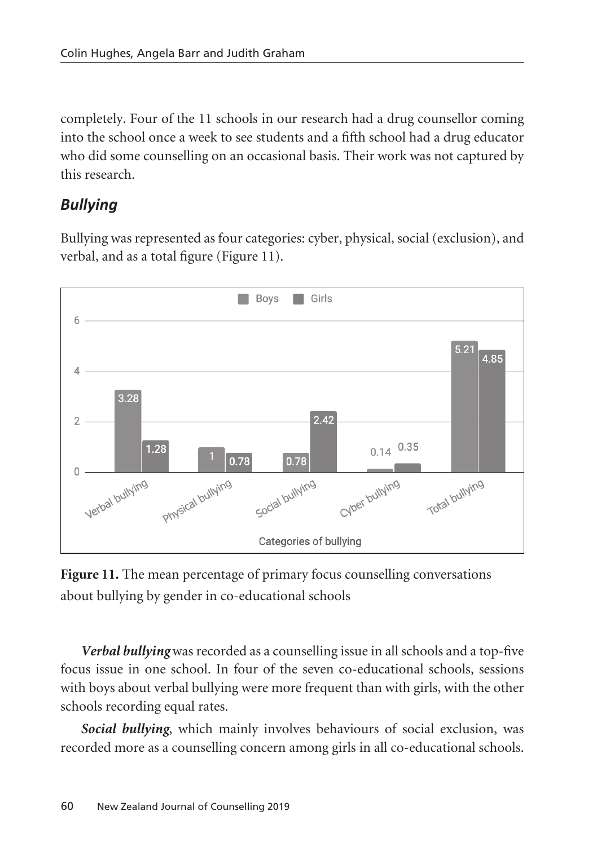completely. Four of the 11 schools in our research had a drug counsellor coming into the school once a week to see students and a fifth school had a drug educator who did some counselling on an occasional basis. Their work was not captured by this research.

## *Bullying*

Bullying was represented as four categories: cyber, physical, social (exclusion), and verbal, and as a total figure (Figure 11).



**Figure 11.** The mean percentage of primary focus counselling conversations about bullying by gender in co-educational schools

*Verbal bullying* was recorded as a counselling issue in all schools and a top-five focus issue in one school. In four of the seven co-educational schools, sessions with boys about verbal bullying were more frequent than with girls, with the other schools recording equal rates.

*Social bullying*, which mainly involves behaviours of social exclusion, was recorded more as a counselling concern among girls in all co-educational schools.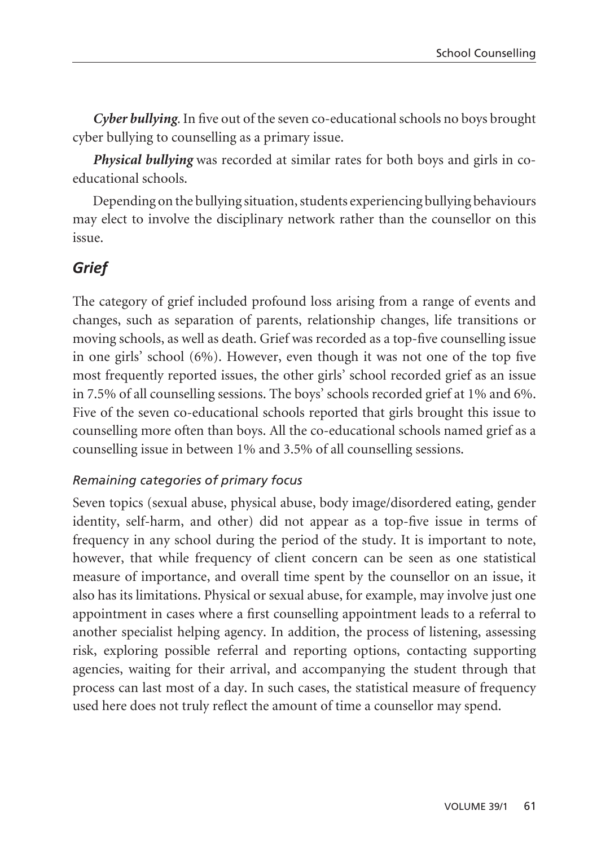*Cyber bullying.* In five out of the seven co-educational schools no boys brought cyber bullying to counselling as a primary issue.

*Physical bullying* was recorded at similar rates for both boys and girls in coeducational schools.

Depending on the bullying situation, students experiencing bullying behaviours may elect to involve the disciplinary network rather than the counsellor on this issue.

## *Grief*

The category of grief included profound loss arising from a range of events and changes, such as separation of parents, relationship changes, life transitions or moving schools, as well as death. Grief was recorded as a top-five counselling issue in one girls' school (6%). However, even though it was not one of the top five most frequently reported issues, the other girls' school recorded grief as an issue in 7.5% of all counselling sessions. The boys' schools recorded grief at 1% and 6%. Five of the seven co-educational schools reported that girls brought this issue to counselling more often than boys. All the co-educational schools named grief as a counselling issue in between 1% and 3.5% of all counselling sessions.

### *Remaining categories of primary focus*

Seven topics (sexual abuse, physical abuse, body image/disordered eating, gender identity, self-harm, and other) did not appear as a top-five issue in terms of frequency in any school during the period of the study. It is important to note, however, that while frequency of client concern can be seen as one statistical measure of importance, and overall time spent by the counsellor on an issue, it also has its limitations. Physical or sexual abuse, for example, may involve just one appointment in cases where a first counselling appointment leads to a referral to another specialist helping agency. In addition, the process of listening, assessing risk, exploring possible referral and reporting options, contacting supporting agencies, waiting for their arrival, and accompanying the student through that process can last most of a day. In such cases, the statistical measure of frequency used here does not truly reflect the amount of time a counsellor may spend.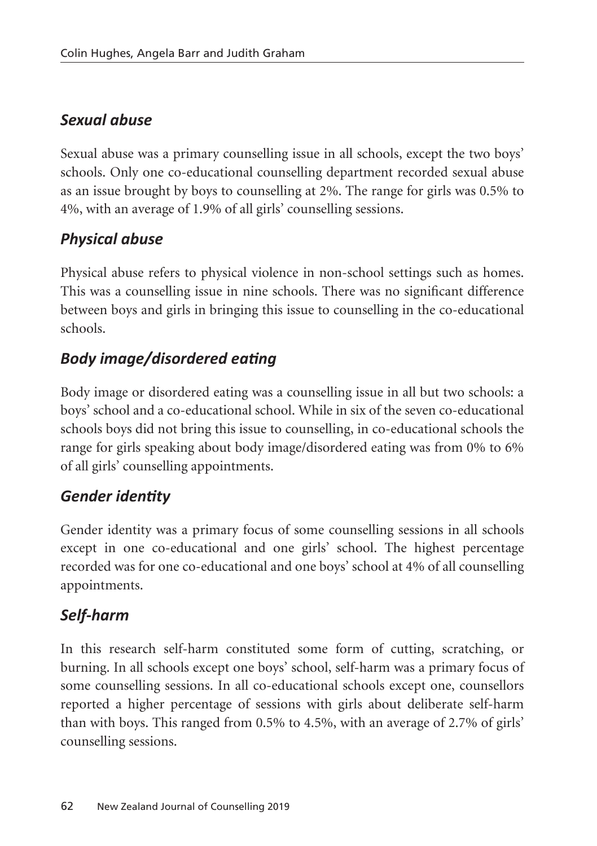## *Sexual abuse*

Sexual abuse was a primary counselling issue in all schools, except the two boys' schools. Only one co-educational counselling department recorded sexual abuse as an issue brought by boys to counselling at 2%. The range for girls was 0.5% to 4%, with an average of 1.9% of all girls' counselling sessions.

## *Physical abuse*

Physical abuse refers to physical violence in non-school settings such as homes. This was a counselling issue in nine schools. There was no significant difference between boys and girls in bringing this issue to counselling in the co-educational schools.

# *Body image/disordered eating*

Body image or disordered eating was a counselling issue in all but two schools: a boys' school and a co-educational school. While in six of the seven co-educational schools boys did not bring this issue to counselling, in co-educational schools the range for girls speaking about body image/disordered eating was from 0% to 6% of all girls' counselling appointments.

## *Gender identity*

Gender identity was a primary focus of some counselling sessions in all schools except in one co-educational and one girls' school. The highest percentage recorded was for one co-educational and one boys' school at 4% of all counselling appointments.

# *Self-harm*

In this research self-harm constituted some form of cutting, scratching, or burning. In all schools except one boys' school, self-harm was a primary focus of some counselling sessions. In all co-educational schools except one, counsellors reported a higher percentage of sessions with girls about deliberate self-harm than with boys. This ranged from 0.5% to 4.5%, with an average of 2.7% of girls' counselling sessions.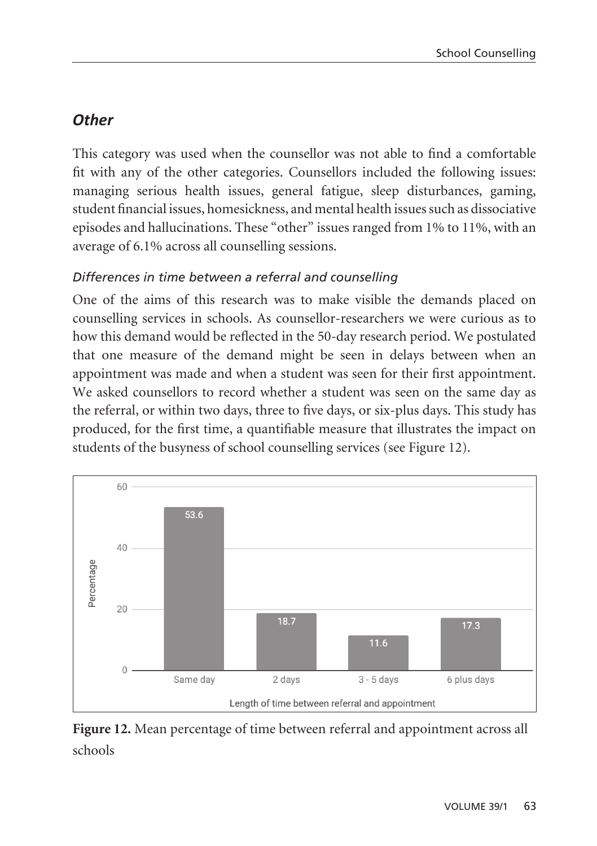## *Other*

This category was used when the counsellor was not able to find a comfortable fit with any of the other categories. Counsellors included the following issues: managing serious health issues, general fatigue, sleep disturbances, gaming, student financial issues, homesickness, and mental health issues such as dissociative episodes and hallucinations. These "other" issues ranged from 1% to 11%, with an average of 6.1% across all counselling sessions.

### *Differences in time between a referral and counselling*

One of the aims of this research was to make visible the demands placed on counselling services in schools. As counsellor-researchers we were curious as to how this demand would be reflected in the 50-day research period. We postulated that one measure of the demand might be seen in delays between when an appointment was made and when a student was seen for their first appointment. We asked counsellors to record whether a student was seen on the same day as the referral, or within two days, three to five days, or six-plus days. This study has produced, for the first time, a quantifiable measure that illustrates the impact on students of the busyness of school counselling services (see Figure 12).



**Figure 12.** Mean percentage of time between referral and appointment across all schools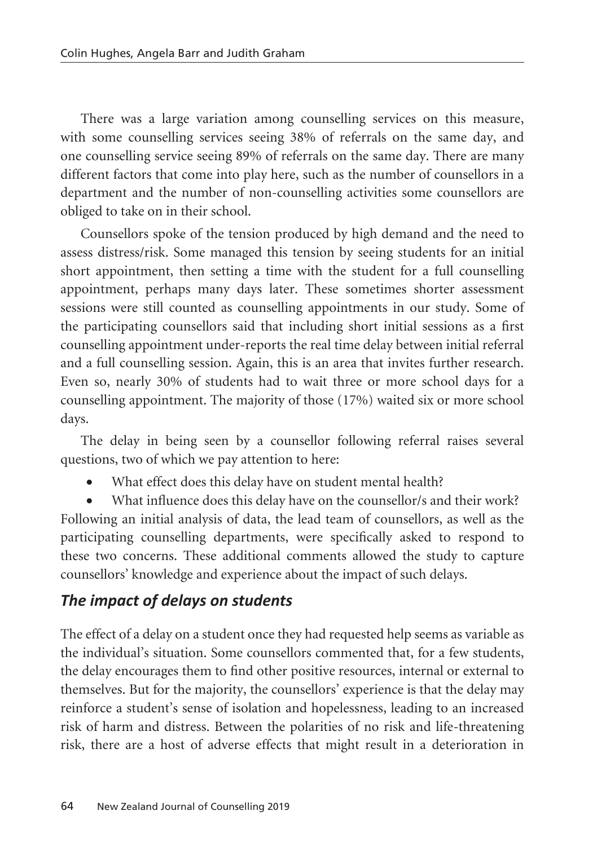There was a large variation among counselling services on this measure, with some counselling services seeing 38% of referrals on the same day, and one counselling service seeing 89% of referrals on the same day. There are many different factors that come into play here, such as the number of counsellors in a department and the number of non-counselling activities some counsellors are obliged to take on in their school.

Counsellors spoke of the tension produced by high demand and the need to assess distress/risk. Some managed this tension by seeing students for an initial short appointment, then setting a time with the student for a full counselling appointment, perhaps many days later. These sometimes shorter assessment sessions were still counted as counselling appointments in our study. Some of the participating counsellors said that including short initial sessions as a first counselling appointment under-reports the real time delay between initial referral and a full counselling session. Again, this is an area that invites further research. Even so, nearly 30% of students had to wait three or more school days for a counselling appointment. The majority of those (17%) waited six or more school days.

The delay in being seen by a counsellor following referral raises several questions, two of which we pay attention to here:

What effect does this delay have on student mental health?

What influence does this delay have on the counsellor/s and their work? Following an initial analysis of data, the lead team of counsellors, as well as the participating counselling departments, were specifically asked to respond to these two concerns. These additional comments allowed the study to capture counsellors' knowledge and experience about the impact of such delays.

## *The impact of delays on students*

The effect of a delay on a student once they had requested help seems as variable as the individual's situation. Some counsellors commented that, for a few students, the delay encourages them to find other positive resources, internal or external to themselves. But for the majority, the counsellors' experience is that the delay may reinforce a student's sense of isolation and hopelessness, leading to an increased risk of harm and distress. Between the polarities of no risk and life-threatening risk, there are a host of adverse effects that might result in a deterioration in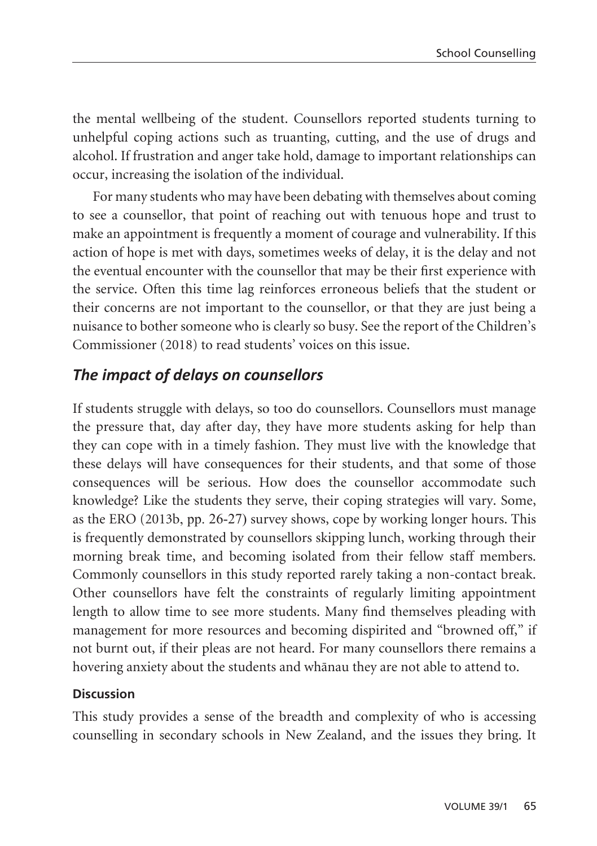the mental wellbeing of the student. Counsellors reported students turning to unhelpful coping actions such as truanting, cutting, and the use of drugs and alcohol. If frustration and anger take hold, damage to important relationships can occur, increasing the isolation of the individual.

For many students who may have been debating with themselves about coming to see a counsellor, that point of reaching out with tenuous hope and trust to make an appointment is frequently a moment of courage and vulnerability. If this action of hope is met with days, sometimes weeks of delay, it is the delay and not the eventual encounter with the counsellor that may be their first experience with the service. Often this time lag reinforces erroneous beliefs that the student or their concerns are not important to the counsellor, or that they are just being a nuisance to bother someone who is clearly so busy. See the report of the Children's Commissioner (2018) to read students' voices on this issue.

## *The impact of delays on counsellors*

If students struggle with delays, so too do counsellors. Counsellors must manage the pressure that, day after day, they have more students asking for help than they can cope with in a timely fashion. They must live with the knowledge that these delays will have consequences for their students, and that some of those consequences will be serious. How does the counsellor accommodate such knowledge? Like the students they serve, their coping strategies will vary. Some, as the ERO (2013b, pp. 26-27) survey shows, cope by working longer hours. This is frequently demonstrated by counsellors skipping lunch, working through their morning break time, and becoming isolated from their fellow staff members. Commonly counsellors in this study reported rarely taking a non-contact break. Other counsellors have felt the constraints of regularly limiting appointment length to allow time to see more students. Many find themselves pleading with management for more resources and becoming dispirited and "browned off," if not burnt out, if their pleas are not heard. For many counsellors there remains a hovering anxiety about the students and whänau they are not able to attend to.

#### **Discussion**

This study provides a sense of the breadth and complexity of who is accessing counselling in secondary schools in New Zealand, and the issues they bring. It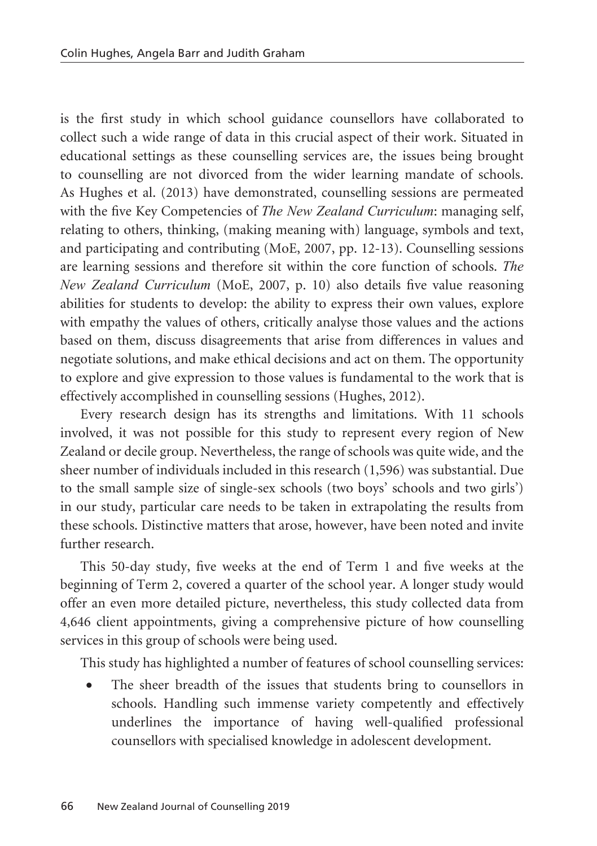is the first study in which school guidance counsellors have collaborated to collect such a wide range of data in this crucial aspect of their work. Situated in educational settings as these counselling services are, the issues being brought to counselling are not divorced from the wider learning mandate of schools. As Hughes et al. (2013) have demonstrated, counselling sessions are permeated with the five Key Competencies of *The New Zealand Curriculum*: managing self, relating to others, thinking, (making meaning with) language, symbols and text, and participating and contributing (MoE, 2007, pp. 12-13). Counselling sessions are learning sessions and therefore sit within the core function of schools. *The New Zealand Curriculum* (MoE, 2007, p. 10) also details five value reasoning abilities for students to develop: the ability to express their own values, explore with empathy the values of others, critically analyse those values and the actions based on them, discuss disagreements that arise from differences in values and negotiate solutions, and make ethical decisions and act on them. The opportunity to explore and give expression to those values is fundamental to the work that is effectively accomplished in counselling sessions (Hughes, 2012).

Every research design has its strengths and limitations. With 11 schools involved, it was not possible for this study to represent every region of New Zealand or decile group. Nevertheless, the range of schools was quite wide, and the sheer number of individuals included in this research (1,596) was substantial. Due to the small sample size of single-sex schools (two boys' schools and two girls') in our study, particular care needs to be taken in extrapolating the results from these schools. Distinctive matters that arose, however, have been noted and invite further research.

This 50-day study, five weeks at the end of Term 1 and five weeks at the beginning of Term 2, covered a quarter of the school year. A longer study would offer an even more detailed picture, nevertheless, this study collected data from 4,646 client appointments, giving a comprehensive picture of how counselling services in this group of schools were being used.

This study has highlighted a number of features of school counselling services:

The sheer breadth of the issues that students bring to counsellors in schools. Handling such immense variety competently and effectively underlines the importance of having well-qualified professional counsellors with specialised knowledge in adolescent development.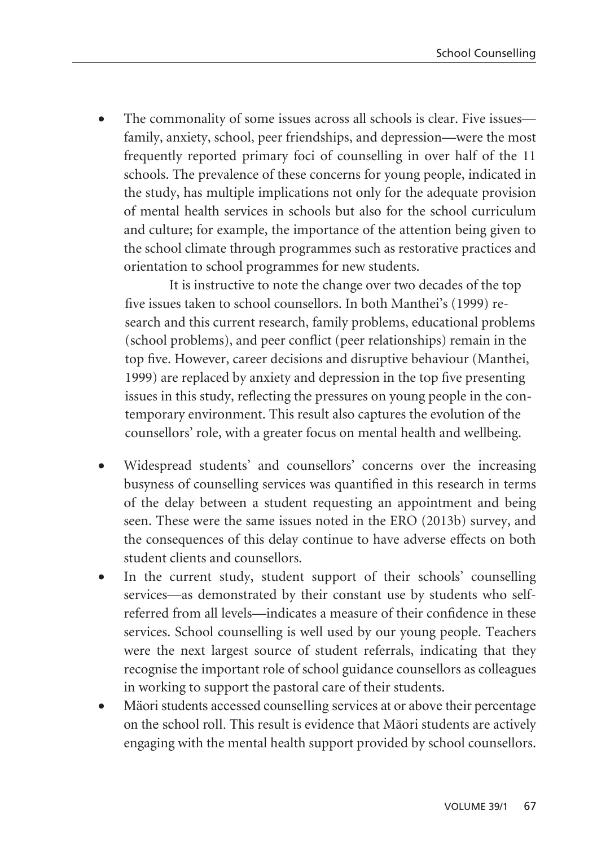The commonality of some issues across all schools is clear. Five issues family, anxiety, school, peer friendships, and depression—were the most frequently reported primary foci of counselling in over half of the 11 schools. The prevalence of these concerns for young people, indicated in the study, has multiple implications not only for the adequate provision of mental health services in schools but also for the school curriculum and culture; for example, the importance of the attention being given to the school climate through programmes such as restorative practices and orientation to school programmes for new students.

It is instructive to note the change over two decades of the top five issues taken to school counsellors. In both Manthei's (1999) research and this current research, family problems, educational problems (school problems), and peer conflict (peer relationships) remain in the top five. However, career decisions and disruptive behaviour (Manthei, 1999) are replaced by anxiety and depression in the top five presenting issues in this study, reflecting the pressures on young people in the contemporary environment. This result also captures the evolution of the counsellors' role, with a greater focus on mental health and wellbeing.

- Widespread students' and counsellors' concerns over the increasing busyness of counselling services was quantified in this research in terms of the delay between a student requesting an appointment and being seen. These were the same issues noted in the ERO (2013b) survey, and the consequences of this delay continue to have adverse effects on both student clients and counsellors.
- In the current study, student support of their schools' counselling services—as demonstrated by their constant use by students who selfreferred from all levels—indicates a measure of their confidence in these services. School counselling is well used by our young people. Teachers were the next largest source of student referrals, indicating that they recognise the important role of school guidance counsellors as colleagues in working to support the pastoral care of their students.
- Mäori students accessed counselling services at or above their percentage on the school roll. This result is evidence that Mäori students are actively engaging with the mental health support provided by school counsellors.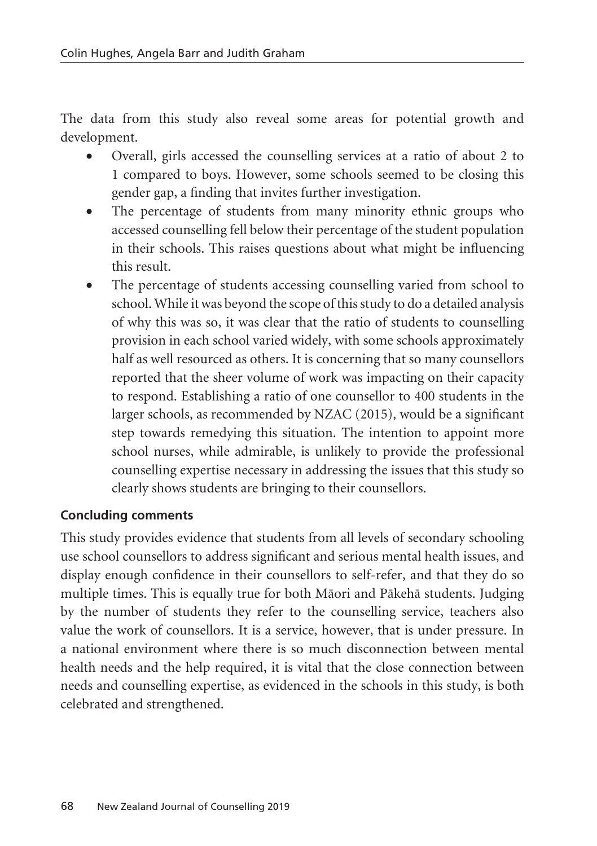The data from this study also reveal some areas for potential growth and development.

- Overall, girls accessed the counselling services at a ratio of about 2 to 1 compared to boys. However, some schools seemed to be closing this gender gap, a finding that invites further investigation.
- The percentage of students from many minority ethnic groups who accessed counselling fell below their percentage of the student population in their schools. This raises questions about what might be influencing this result.
- The percentage of students accessing counselling varied from school to school. While it was beyond the scope of this study to do a detailed analysis of why this was so, it was clear that the ratio of students to counselling provision in each school varied widely, with some schools approximately half as well resourced as others. It is concerning that so many counsellors reported that the sheer volume of work was impacting on their capacity to respond. Establishing a ratio of one counsellor to 400 students in the larger schools, as recommended by NZAC (2015), would be a significant step towards remedying this situation. The intention to appoint more school nurses, while admirable, is unlikely to provide the professional counselling expertise necessary in addressing the issues that this study so clearly shows students are bringing to their counsellors.

#### **Concluding comments**

This study provides evidence that students from all levels of secondary schooling use school counsellors to address significant and serious mental health issues, and display enough confidence in their counsellors to self-refer, and that they do so multiple times. This is equally true for both Mäori and Päkehä students. Judging by the number of students they refer to the counselling service, teachers also value the work of counsellors. It is a service, however, that is under pressure. In a national environment where there is so much disconnection between mental health needs and the help required, it is vital that the close connection between needs and counselling expertise, as evidenced in the schools in this study, is both celebrated and strengthened.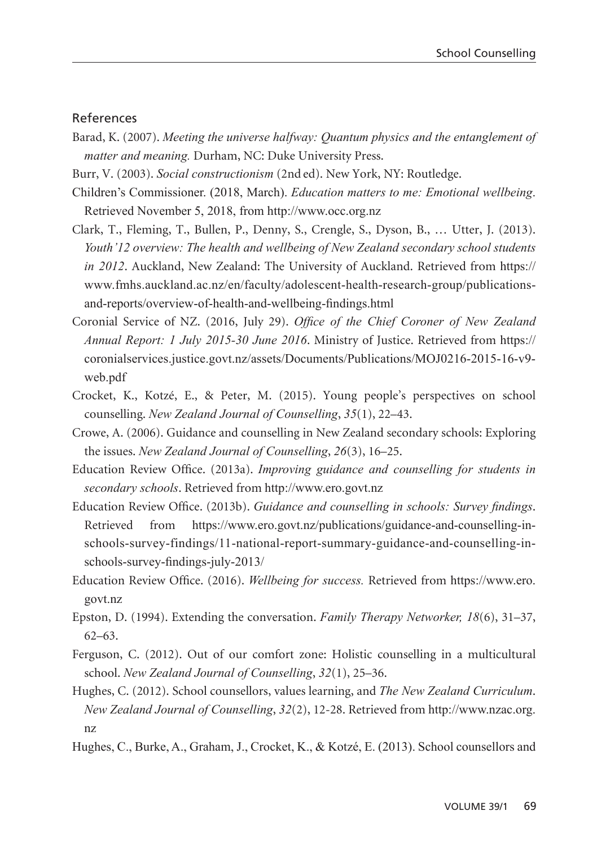#### References

- Barad, K. (2007). *Meeting the universe halfway: Quantum physics and the entanglement of matter and meaning.* Durham, NC: Duke University Press.
- Burr, V. (2003). *Social constructionism* (2nd ed). New York, NY: Routledge.
- Children's Commissioner. (2018, March). *Education matters to me: Emotional wellbeing*. Retrieved November 5, 2018, from http://www.occ.org.nz
- Clark, T., Fleming, T., Bullen, P., Denny, S., Crengle, S., Dyson, B., … Utter, J. (2013). *Youth'12 overview: The health and wellbeing of New Zealand secondary school students in 2012*. Auckland, New Zealand: The University of Auckland. Retrieved from https:// www.fmhs.auckland.ac.nz/en/faculty/adolescent-health-research-group/publicationsand-reports/overview-of-health-and-wellbeing-findings.html
- Coronial Service of NZ. (2016, July 29). *Office of the Chief Coroner of New Zealand Annual Report: 1 July 2015-30 June 2016*. Ministry of Justice. Retrieved from https:// coronialservices.justice.govt.nz/assets/Documents/Publications/MOJ0216-2015-16-v9 web.pdf
- Crocket, K., Kotzé, E., & Peter, M. (2015). Young people's perspectives on school counselling. *New Zealand Journal of Counselling*, *35*(1), 22–43.
- Crowe, A. (2006). Guidance and counselling in New Zealand secondary schools: Exploring the issues. *New Zealand Journal of Counselling*, *26*(3), 16–25.
- Education Review Office. (2013a). *Improving guidance and counselling for students in secondary schools*. Retrieved from http://www.ero.govt.nz
- Education Review Office. (2013b). *Guidance and counselling in schools: Survey findings*. Retrieved from https://www.ero.govt.nz/publications/guidance-and-counselling-inschools-survey-findings/11-national-report-summary-guidance-and-counselling-inschools-survey-findings-july-2013/
- Education Review Office. (2016). *Wellbeing for success.* Retrieved from https://www.ero. govt.nz
- Epston, D. (1994). Extending the conversation. *Family Therapy Networker, 18*(6), 31–37, 62–63.
- Ferguson, C. (2012). Out of our comfort zone: Holistic counselling in a multicultural school. *New Zealand Journal of Counselling*, *32*(1), 25–36.
- Hughes, C. (2012). School counsellors, values learning, and *The New Zealand Curriculum*. *New Zealand Journal of Counselling*, *32*(2), 12-28. Retrieved from http://www.nzac.org. nz
- Hughes, C., Burke, A., Graham, J., Crocket, K., & Kotzé, E. (2013). School counsellors and